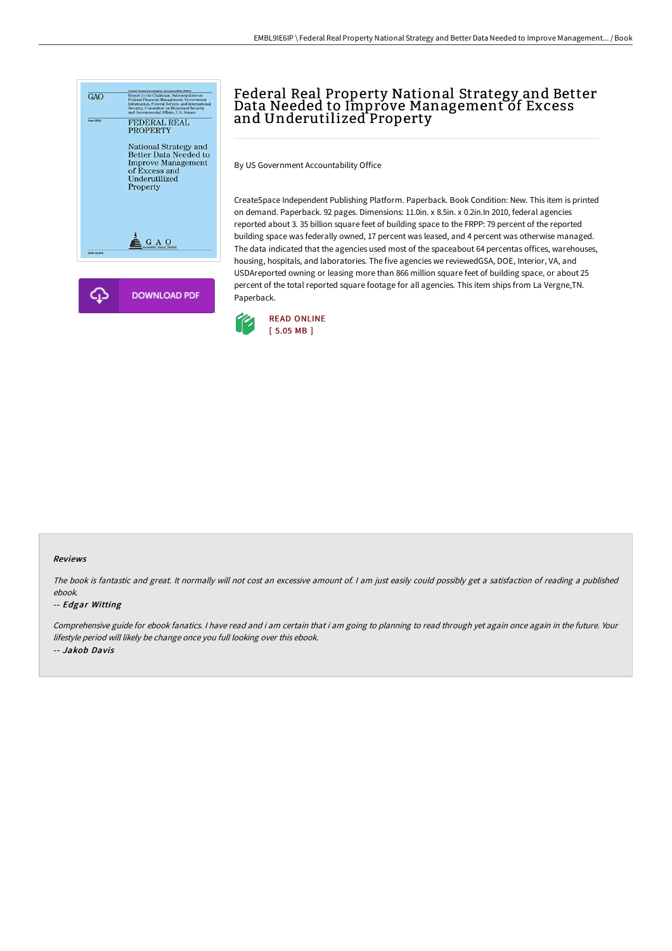

# Federal Real Property National Strategy and Better Data Needed to Improve Management of Excess and Underutilized Property

By US Government Accountability Office

CreateSpace Independent Publishing Platform. Paperback. Book Condition: New. This item is printed on demand. Paperback. 92 pages. Dimensions: 11.0in. x 8.5in. x 0.2in.In 2010, federal agencies reported about 3. 35 billion square feet of building space to the FRPP: 79 percent of the reported building space was federally owned, 17 percent was leased, and 4 percent was otherwise managed. The data indicated that the agencies used most of the spaceabout 64 percentas offices, warehouses, housing, hospitals, and laboratories. The five agencies we reviewedGSA, DOE, Interior, VA, and USDAreported owning or leasing more than 866 million square feet of building space, or about 25 percent of the total reported square footage for all agencies. This item ships from La Vergne,TN. Paperback.



#### Reviews

The book is fantastic and great. It normally will not cost an excessive amount of. <sup>I</sup> am just easily could possibly get <sup>a</sup> satisfaction of reading <sup>a</sup> published ebook.

#### -- Edgar Witting

Comprehensive guide for ebook fanatics. <sup>I</sup> have read and i am certain that i am going to planning to read through yet again once again in the future. Your lifestyle period will likely be change once you full looking over this ebook. -- Jakob Davis